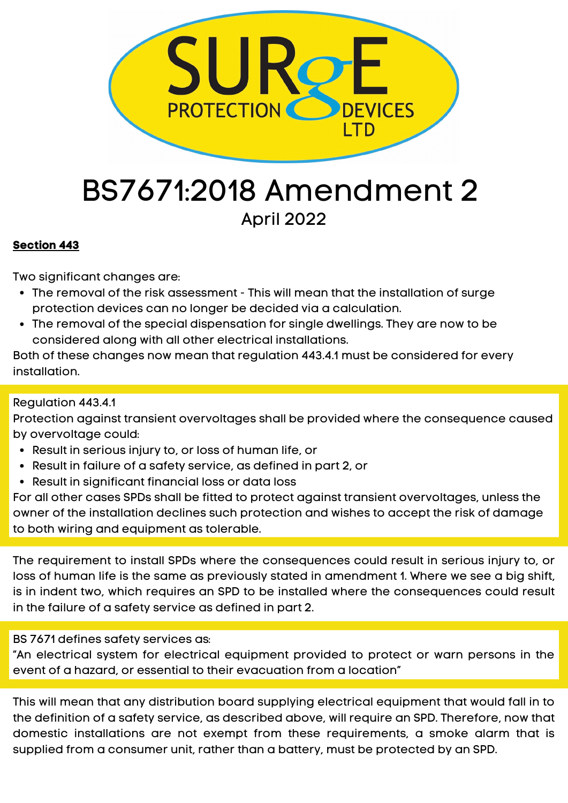

# BS7671:2018 Amendment 2 April 2022

## **Section 443**

Two significant changes are:

- The removal of the risk assessment This will mean that the installation of surge protection devices can no longer be decided via a calculation.
- The removal of the special dispensation for single dwellings. They are now to be considered along with all other electrical installations.

Both of these changes now mean that regulation 443.4.1 must be considered for every installation.

## Regulation 443.4.1

Protection against transient overvoltages shall be provided where the consequence caused by overvoltage could:

- Result in serious injury to, or loss of human life, or
- Result in failure of a safety service, as defined in part 2, or
- Result in significant financial loss or data loss

For all other cases SPDs shall be fitted to protect against transient overvoltages, unless the owner of the installation declines such protection and wishes to accept the risk of damage to both wiring and equipment as tolerable.

The requirement to install SPDs where the consequences could result in serious injury to, or loss of human life is the same as previously stated in amendment 1. Where we see a big shift, is in indent two, which requires an SPD to be installed where the consequences could result in the failure of a safety service as defined in part 2.

BS 7671 defines safety services as:

"An electrical system for electrical equipment provided to protect or warn persons in the event of a hazard, or essential to their evacuation from a location"

This will mean that any distribution board supplying electrical equipment that would fall in to the definition of a safety service, as described above, will require an SPD. Therefore, now that domestic installations are not exempt from these requirements, a smoke alarm that is supplied from a consumer unit, rather than a battery, must be protected by an SPD.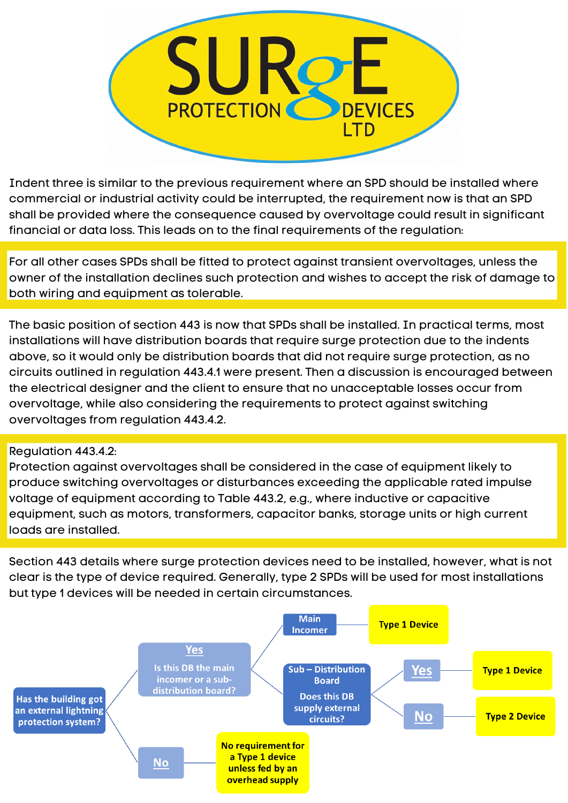

Indent three is similar to the previous requirement where an SPD should be installed where commercial or industrial activity could be interrupted, the requirement now is that an SPD shall be provided where the consequence caused by overvoltage could result in significant financial or data loss. This leads on to the final requirements of the regulation:

For all other cases SPDs shall be fitted to protect against transient overvoltages, unless the owner of the installation declines such protection and wishes to accept the risk of damage to both wiring and equipment as tolerable.

The basic position of section 443 is now that SPDs shall be installed. In practical terms, most installations will have distribution boards that require surge protection due to the indents above, so it would only be distribution boards that did not require surge protection, as no circuits outlined in regulation 443.4.1 were present. Then a discussion is encouraged between the electrical designer and the client to ensure that no unacceptable losses occur from overvoltage, while also considering the requirements to protect against switching overvoltages from regulation 443.4.2.

## Regulation 443.4.2:

Protection against overvoltages shall be considered in the case of equipment likely to produce switching overvoltages or disturbances exceeding the applicable rated impulse voltage of equipment according to Table 443.2, e.g., where inductive or capacitive equipment, such as motors, transformers, capacitor banks, storage units or high current loads are installed.

Section 443 details where surge protection devices need to be installed, however, what is not clear is the type of device required. Generally, type 2 SPDs will be used for most installations but type 1 devices will be needed in certain circumstances.

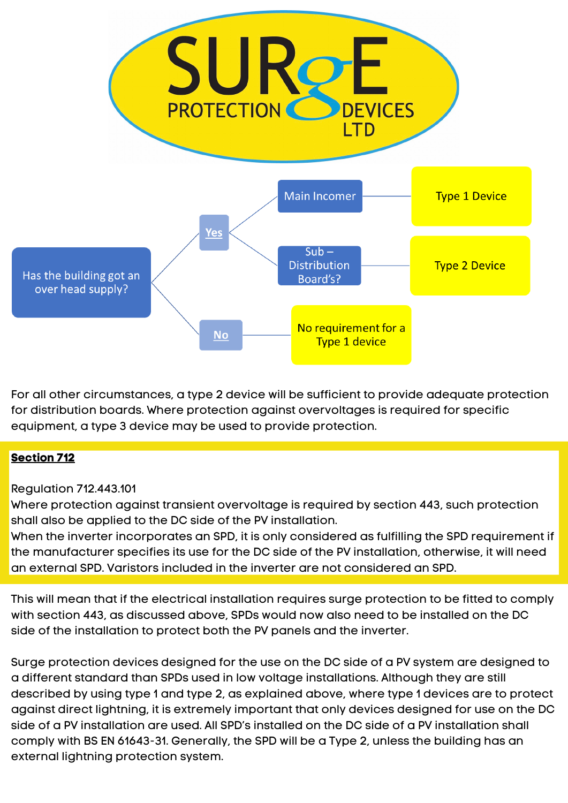

For all other circumstances, a type 2 device will be sufficient to provide adequate protection for distribution boards. Where protection against overvoltages is required for specific equipment, a type 3 device may be used to provide protection.

## **Section 712**

## Regulation 712.443.101

Where protection against transient overvoltage is required by section 443, such protection shall also be applied to the DC side of the PV installation.

When the inverter incorporates an SPD, it is only considered as fulfilling the SPD requirement if the manufacturer specifies its use for the DC side of the PV installation, otherwise, it will need an external SPD. Varistors included in the inverter are not considered an SPD.

This will mean that if the electrical installation requires surge protection to be fitted to comply with section 443, as discussed above, SPDs would now also need to be installed on the DC side of the installation to protect both the PV panels and the inverter.

Surge protection devices designed for the use on the DC side of a PV system are designed to a different standard than SPDs used in low voltage installations. Although they are still described by using type 1 and type 2, as explained above, where type 1 devices are to protect against direct lightning, it is extremely important that only devices designed for use on the DC side of a PV installation are used. All SPD's installed on the DC side of a PV installation shall comply with BS EN 61643-31. Generally, the SPD will be a Type 2, unless the building has an external lightning protection system.